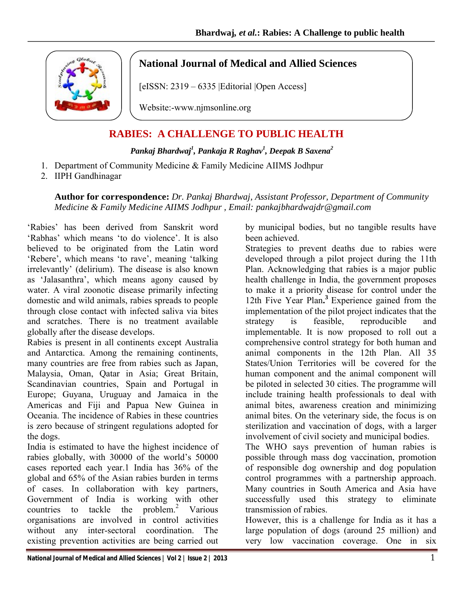

## **National Journal of Medical and Allied Sciences**

[eISSN: 2319 – 6335 | Editorial | Open Access]

Website:-www.njmsonline.org

## **RABIES: A CHALLENGE TO PUBLIC HEALTH**

## *Pankaj Bhardwaj1 , Pankaja R Raghav1 , Deepak B Saxena2*

- 1. Department of Community Medicine & Family Medicine AIIMS Jodhpur
- 2. IIPH Gandhinagar

**Author for correspondence:** *Dr. Pankaj Bhardwaj, Assistant Professor, Department of Community Medicine & Family Medicine AIIMS Jodhpur , Email: pankajbhardwajdr@gmail.com*

'Rabies' has been derived from Sanskrit word 'Rabhas' which means 'to do violence'. It is also believed to be originated from the Latin word 'Rebere', which means 'to rave', meaning 'talking irrelevantly' (delirium). The disease is also known as 'Jalasanthra', which means agony caused by water. A viral zoonotic disease primarily infecting domestic and wild animals, rabies spreads to people through close contact with infected saliva via bites and scratches. There is no treatment available globally after the disease develops.

Rabies is present in all continents except Australia and Antarctica. Among the remaining continents, many countries are free from rabies such as Japan, Malaysia, Oman, Qatar in Asia; Great Britain, Scandinavian countries, Spain and Portugal in Europe; Guyana, Uruguay and Jamaica in the Americas and Fiji and Papua New Guinea in Oceania. The incidence of Rabies in these countries is zero because of stringent regulations adopted for the dogs.

India is estimated to have the highest incidence of rabies globally, with 30000 of the world's 50000 cases reported each year.1 India has 36% of the global and 65% of the Asian rabies burden in terms of cases. In collaboration with key partners, Government of India is working with other countries to tackle the problem. $2$  Various organisations are involved in control activities without any inter-sectoral coordination. The existing prevention activities are being carried out

by municipal bodies, but no tangible results have been achieved.

Strategies to prevent deaths due to rabies were developed through a pilot project during the 11th Plan. Acknowledging that rabies is a major public health challenge in India, the government proposes to make it a priority disease for control under the 12th Five Year Plan**. <sup>3</sup>**Experience gained from the implementation of the pilot project indicates that the strategy is feasible, reproducible and implementable. It is now proposed to roll out a comprehensive control strategy for both human and animal components in the 12th Plan. All 35 States/Union Territories will be covered for the human component and the animal component will be piloted in selected 30 cities. The programme will include training health professionals to deal with animal bites, awareness creation and minimizing animal bites. On the veterinary side, the focus is on sterilization and vaccination of dogs, with a larger involvement of civil society and municipal bodies.

The WHO says prevention of human rabies is possible through mass dog vaccination, promotion of responsible dog ownership and dog population control programmes with a partnership approach. Many countries in South America and Asia have successfully used this strategy to eliminate transmission of rabies.

However, this is a challenge for India as it has a large population of dogs (around 25 million) and very low vaccination coverage. One in six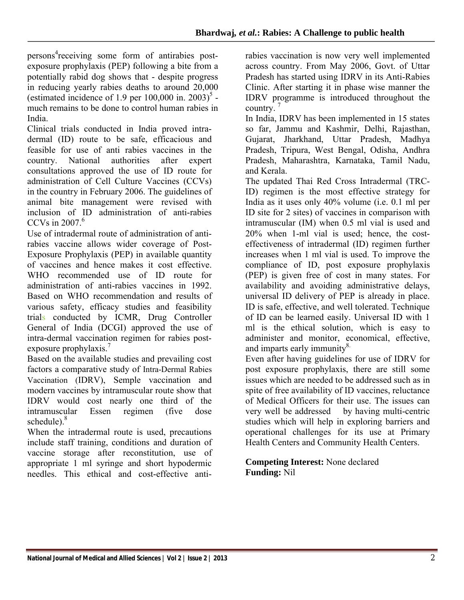persons<sup>4</sup> receiving some form of antirabies postexposure prophylaxis (PEP) following a bite from a potentially rabid dog shows that - despite progress in reducing yearly rabies deaths to around 20,000 (estimated incidence of 1.9 per  $100,000$  in.  $2003$ )<sup>5</sup> much remains to be done to control human rabies in India.

Clinical trials conducted in India proved intradermal (ID) route to be safe, efficacious and feasible for use of anti rabies vaccines in the country. National authorities after expert consultations approved the use of ID route for administration of Cell Culture Vaccines (CCVs) in the country in February 2006. The guidelines of animal bite management were revised with inclusion of ID administration of anti-rabies CCVs in 2007 $^6$ .

Use of intradermal route of administration of antirabies vaccine allows wider coverage of Post-Exposure Prophylaxis (PEP) in available quantity of vaccines and hence makes it cost effective. WHO recommended use of ID route for administration of anti-rabies vaccines in 1992. Based on WHO recommendation and results of various safety, efficacy studies and feasibility trials conducted by ICMR, Drug Controller General of India (DCGI) approved the use of intra-dermal vaccination regimen for rabies postexposure prophylaxis.<sup>7</sup>

Based on the available studies and prevailing cost factors a comparative study of Intra-Dermal Rabies Vaccination (IDRV), Semple vaccination and modern vaccines by intramuscular route show that IDRV would cost nearly one third of the intramuscular Essen regimen (five dose schedule).<sup>8</sup>

When the intradermal route is used, precautions include staff training, conditions and duration of vaccine storage after reconstitution, use of appropriate 1 ml syringe and short hypodermic needles. This ethical and cost-effective antirabies vaccination is now very well implemented across country. From May 2006, Govt. of Uttar Pradesh has started using IDRV in its Anti-Rabies Clinic. After starting it in phase wise manner the IDRV programme is introduced throughout the country.<sup>7</sup>

In India, IDRV has been implemented in 15 states so far, Jammu and Kashmir, Delhi, Rajasthan, Gujarat, Jharkhand, Uttar Pradesh, Madhya Pradesh, Tripura, West Bengal, Odisha, Andhra Pradesh, Maharashtra, Karnataka, Tamil Nadu, and Kerala.

The updated Thai Red Cross Intradermal (TRC-ID) regimen is the most effective strategy for India as it uses only 40% volume (i.e. 0.1 ml per ID site for 2 sites) of vaccines in comparison with intramuscular (IM) when 0.5 ml vial is used and 20% when 1-ml vial is used; hence, the costeffectiveness of intradermal (ID) regimen further increases when 1 ml vial is used. To improve the compliance of ID, post exposure prophylaxis (PEP) is given free of cost in many states. For availability and avoiding administrative delays, universal ID delivery of PEP is already in place. ID is safe, effective, and well tolerated. Technique of ID can be learned easily. Universal ID with 1 ml is the ethical solution, which is easy to administer and monitor, economical, effective, and imparts early immunity<sup>8.</sup>

Even after having guidelines for use of IDRV for post exposure prophylaxis, there are still some issues which are needed to be addressed such as in spite of free availability of ID vaccines, reluctance of Medical Officers for their use. The issues can very well be addressed by having multi-centric studies which will help in exploring barriers and operational challenges for its use at Primary Health Centers and Community Health Centers.

**Competing Interest:** None declared **Funding:** Nil